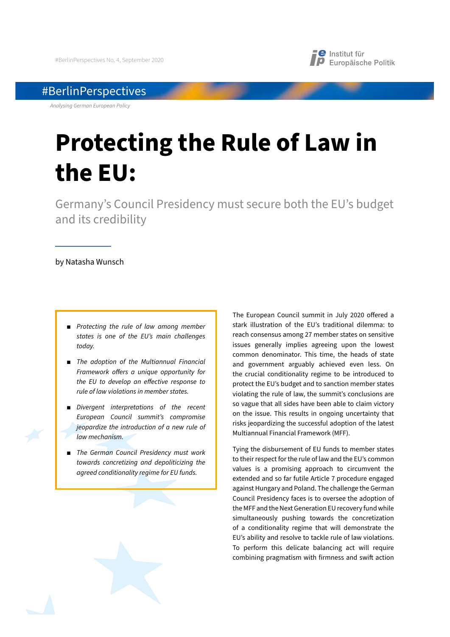

# #BerlinPerspectives

*Analysing German European Policy*

# **Protecting the Rule of Law in the EU:**

Germany's Council Presidency must secure both the EU's budget and its credibility

## by Natasha Wunsch

- **Protecting the rule of law among member** *states is one of the EU's main challenges today.*
- *The adoption of the Multiannual Financial Framework o*!*ers a unique opportunity for the EU to develop an e*!*ective response to rule of law violations in member states.*
- *Divergent interpretations of the recent European Council summit's compromise jeopardize the introduction of a new rule of law mechanism.*
- *The German Council Presidency must work towards concretizing and depoliticizing the agreed conditionality regime for EU funds.*

The European Council summit in July 2020 offered a stark illustration of the EU's traditional dilemma: to reach consensus among 27 member states on sensitive issues generally implies agreeing upon the lowest common denominator. This time, the heads of state and government arguably achieved even less. On the crucial conditionality regime to be introduced to protect the EU's budget and to sanction member states violating the rule of law, the summit's conclusions are so vague that all sides have been able to claim victory on the issue. This results in ongoing uncertainty that risks jeopardizing the successful adoption of the latest Multiannual Financial Framework (MFF).

Tying the disbursement of EU funds to member states to their respect for the rule of law and the EU's common values is a promising approach to circumvent the extended and so far futile Article 7 procedure engaged against Hungary and Poland. The challenge the German Council Presidency faces is to oversee the adoption of the MFF and the Next Generation EU recovery fund while simultaneously pushing towards the concretization of a conditionality regime that will demonstrate the EU's ability and resolve to tackle rule of law violations. To perform this delicate balancing act will require combining pragmatism with firmness and swift action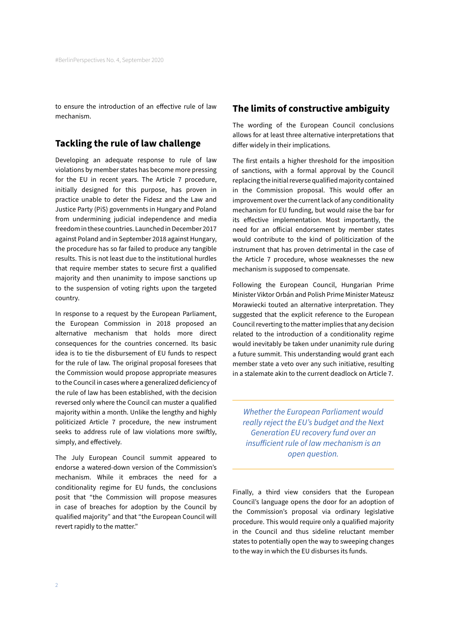to ensure the introduction of an effective rule of law mechanism.

# **Tackling the rule of law challenge**

Developing an adequate response to rule of law violations by member states has become more pressing for the EU in recent years. The Article 7 procedure, initially designed for this purpose, has proven in practice unable to deter the Fidesz and the Law and Justice Party (PiS) governments in Hungary and Poland from undermining judicial independence and media freedom in these countries. Launched in December 2017 against Poland and in September 2018 against Hungary, the procedure has so far failed to produce any tangible results. This is not least due to the institutional hurdles that require member states to secure first a qualified majority and then unanimity to impose sanctions up to the suspension of voting rights upon the targeted country.

In response to a request by the European Parliament, the European Commission in 2018 proposed an alternative mechanism that holds more direct consequences for the countries concerned. Its basic idea is to tie the disbursement of EU funds to respect for the rule of law. The original proposal foresees that the Commission would propose appropriate measures to the Council in cases where a generalized deficiency of the rule of law has been established, with the decision reversed only where the Council can muster a qualified majority within a month. Unlike the lengthy and highly politicized Article 7 procedure, the new instrument seeks to address rule of law violations more swiftly, simply, and effectively.

The July European Council summit appeared to endorse a watered-down version of the Commission's mechanism. While it embraces the need for a conditionality regime for EU funds, the conclusions posit that "the Commission will propose measures in case of breaches for adoption by the Council by qualified majority" and that "the European Council will revert rapidly to the matter."

## **The limits of constructive ambiguity**

The wording of the European Council conclusions allows for at least three alternative interpretations that differ widely in their implications.

The first entails a higher threshold for the imposition of sanctions, with a formal approval by the Council replacing the initial reverse qualified majority contained in the Commission proposal. This would offer an improvement over the current lack of any conditionality mechanism for EU funding, but would raise the bar for its effective implementation. Most importantly, the need for an official endorsement by member states would contribute to the kind of politicization of the instrument that has proven detrimental in the case of the Article 7 procedure, whose weaknesses the new mechanism is supposed to compensate.

Following the European Council, Hungarian Prime Minister Viktor Orbán and Polish Prime Minister Mateusz Morawiecki touted an alternative interpretation. They suggested that the explicit reference to the European Council reverting to the matter implies that any decision related to the introduction of a conditionality regime would inevitably be taken under unanimity rule during a future summit. This understanding would grant each member state a veto over any such initiative, resulting in a stalemate akin to the current deadlock on Article 7.

*Whether the European Parliament would really reject the EU's budget and the Next Generation EU recovery fund over an insu*!*icient rule of law mechanism is an open question.* 

Finally, a third view considers that the European Council's language opens the door for an adoption of the Commission's proposal via ordinary legislative procedure. This would require only a qualified majority in the Council and thus sideline reluctant member states to potentially open the way to sweeping changes to the way in which the EU disburses its funds.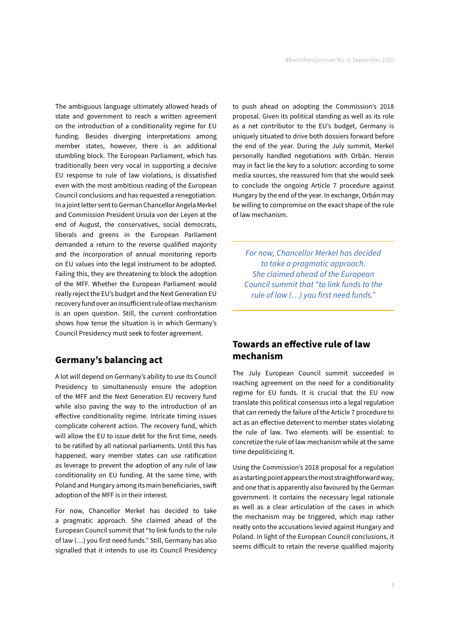The ambiguous language ultimately allowed heads of state and government to reach a written agreement on the introduction of a conditionality regime for EU funding. Besides diverging interpretations among member states, however, there is an additional stumbling block. The European Parliament, which has traditionally been very vocal in supporting a decisive EU response to rule of law violations, is dissatisfied even with the most ambitious reading of the European Council conclusions and has requested a renegotiation. In a joint letter sent to German Chancellor Angela Merkel and Commission President Ursula von der Leyen at the end of August, the conservatives, social democrats, liberals and greens in the European Parliament demanded a return to the reverse qualified majority and the incorporation of annual monitoring reports on EU values into the legal instrument to be adopted. Failing this, they are threatening to block the adoption of the MFF. Whether the European Parliament would really reject the EU's budget and the Next Generation EU recovery fund over an insufficient rule of law mechanism is an open question. Still, the current confrontation shows how tense the situation is in which Germany's Council Presidency must seek to foster agreement.

## **Germany's balancing act**

A lot will depend on Germany's ability to use its Council Presidency to simultaneously ensure the adoption of the MFF and the Next Generation EU recovery fund while also paving the way to the introduction of an effective conditionality regime. Intricate timing issues complicate coherent action. The recovery fund, which will allow the EU to issue debt for the first time, needs to be ratified by all national parliaments. Until this has happened, wary member states can use ratification as leverage to prevent the adoption of any rule of law conditionality on EU funding. At the same time, with Poland and Hungary among its main beneficiaries, swift adoption of the MFF is in their interest.

For now, Chancellor Merkel has decided to take a pragmatic approach. She claimed ahead of the European Council summit that "to link funds to the rule of law (…) you first need funds." Still, Germany has also signalled that it intends to use its Council Presidency to push ahead on adopting the Commission's 2018 proposal. Given its political standing as well as its role as a net contributor to the EU's budget, Germany is uniquely situated to drive both dossiers forward before the end of the year. During the July summit, Merkel personally handled negotiations with Orbán. Herein may in fact lie the key to a solution: according to some media sources, she reassured him that she would seek to conclude the ongoing Article 7 procedure against Hungary by the end of the year. In exchange, Orbán may be willing to compromise on the exact shape of the rule of law mechanism.

*For now, Chancellor Merkel has decided to take a pragmatic approach. She claimed ahead of the European Council summit that "to link funds to the rule of law (…) you first need funds."*

# **Towards an e!ective rule of law mechanism**

The July European Council summit succeeded in reaching agreement on the need for a conditionality regime for EU funds. It is crucial that the EU now translate this political consensus into a legal regulation that can remedy the failure of the Article 7 procedure to act as an effective deterrent to member states violating the rule of law. Two elements will be essential: to concretize the rule of law mechanism while at the same time depoliticizing it.

Using the Commission's 2018 proposal for a regulation as a starting point appears the most straightforward way, and one that is apparently also favoured by the German government. It contains the necessary legal rationale as well as a clear articulation of the cases in which the mechanism may be triggered, which map rather neatly onto the accusations levied against Hungary and Poland. In light of the European Council conclusions, it seems difficult to retain the reverse qualified majority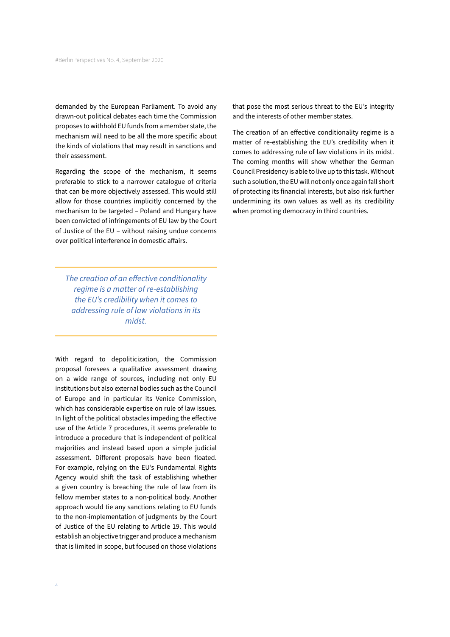demanded by the European Parliament. To avoid any drawn-out political debates each time the Commission proposes to withhold EU funds from a member state, the mechanism will need to be all the more specific about the kinds of violations that may result in sanctions and their assessment.

Regarding the scope of the mechanism, it seems preferable to stick to a narrower catalogue of criteria that can be more objectively assessed. This would still allow for those countries implicitly concerned by the mechanism to be targeted – Poland and Hungary have been convicted of infringements of EU law by the Court of Justice of the EU – without raising undue concerns over political interference in domestic affairs.

*The creation of an e*!*ective conditionality regime is a matter of re-establishing the EU's credibility when it comes to addressing rule of law violations in its midst.* 

With regard to depoliticization, the Commission proposal foresees a qualitative assessment drawing on a wide range of sources, including not only EU institutions but also external bodies such as the Council of Europe and in particular its Venice Commission, which has considerable expertise on rule of law issues. In light of the political obstacles impeding the effective use of the Article 7 procedures, it seems preferable to introduce a procedure that is independent of political majorities and instead based upon a simple judicial assessment. Different proposals have been floated. For example, relying on the EU's Fundamental Rights Agency would shift the task of establishing whether a given country is breaching the rule of law from its fellow member states to a non-political body. Another approach would tie any sanctions relating to EU funds to the non-implementation of judgments by the Court of Justice of the EU relating to Article 19. This would establish an objective trigger and produce a mechanism that is limited in scope, but focused on those violations

that pose the most serious threat to the EU's integrity and the interests of other member states.

The creation of an effective conditionality regime is a matter of re-establishing the EU's credibility when it comes to addressing rule of law violations in its midst. The coming months will show whether the German Council Presidency is able to live up to this task. Without such a solution, the EU will not only once again fall short of protecting its financial interests, but also risk further undermining its own values as well as its credibility when promoting democracy in third countries.